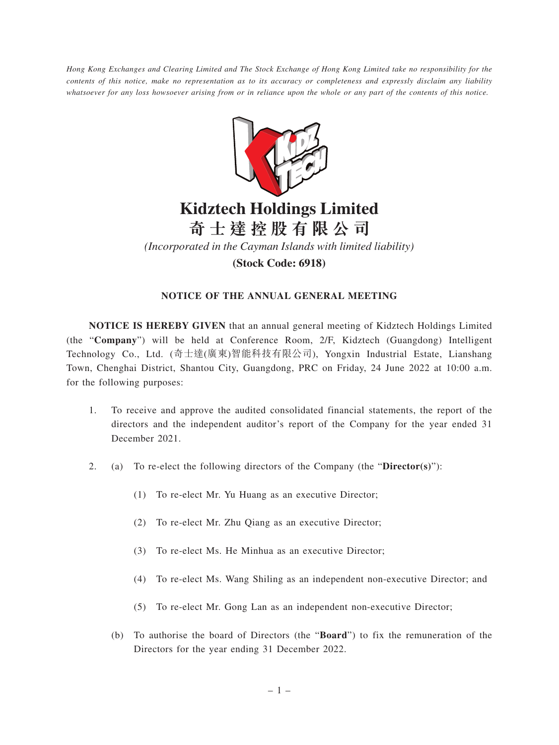*Hong Kong Exchanges and Clearing Limited and The Stock Exchange of Hong Kong Limited take no responsibility for the contents of this notice, make no representation as to its accuracy or completeness and expressly disclaim any liability whatsoever for any loss howsoever arising from or in reliance upon the whole or any part of the contents of this notice.*



# **Kidztech Holdings Limited 奇 士 達 控 股 有 限 公 司**

## *(Incorporated in the Cayman Islands with limited liability)* **(Stock Code: 6918)**

### **NOTICE OF THE ANNUAL GENERAL MEETING**

**NOTICE IS HEREBY GIVEN** that an annual general meeting of Kidztech Holdings Limited (the "**Company**") will be held at Conference Room, 2/F, Kidztech (Guangdong) Intelligent Technology Co., Ltd. (奇士達(廣東)智能科技有限公司), Yongxin Industrial Estate, Lianshang Town, Chenghai District, Shantou City, Guangdong, PRC on Friday, 24 June 2022 at 10:00 a.m. for the following purposes:

- 1. To receive and approve the audited consolidated financial statements, the report of the directors and the independent auditor's report of the Company for the year ended 31 December 2021.
- 2. (a) To re-elect the following directors of the Company (the "**Director(s)**"):
	- (1) To re-elect Mr. Yu Huang as an executive Director;
	- (2) To re-elect Mr. Zhu Qiang as an executive Director;
	- (3) To re-elect Ms. He Minhua as an executive Director;
	- (4) To re-elect Ms. Wang Shiling as an independent non-executive Director; and
	- (5) To re-elect Mr. Gong Lan as an independent non-executive Director;
	- (b) To authorise the board of Directors (the "**Board**") to fix the remuneration of the Directors for the year ending 31 December 2022.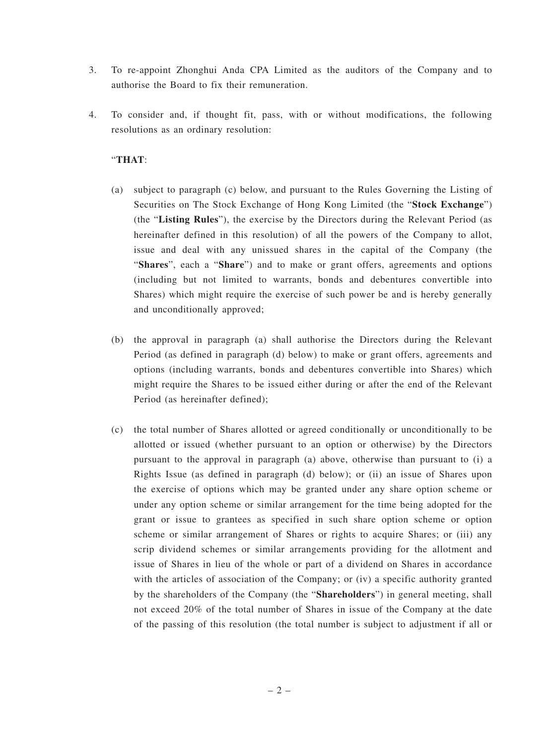- 3. To re-appoint Zhonghui Anda CPA Limited as the auditors of the Company and to authorise the Board to fix their remuneration.
- 4. To consider and, if thought fit, pass, with or without modifications, the following resolutions as an ordinary resolution:

#### "**THAT**:

- (a) subject to paragraph (c) below, and pursuant to the Rules Governing the Listing of Securities on The Stock Exchange of Hong Kong Limited (the "**Stock Exchange**") (the "**Listing Rules**"), the exercise by the Directors during the Relevant Period (as hereinafter defined in this resolution) of all the powers of the Company to allot, issue and deal with any unissued shares in the capital of the Company (the "**Shares**", each a "**Share**") and to make or grant offers, agreements and options (including but not limited to warrants, bonds and debentures convertible into Shares) which might require the exercise of such power be and is hereby generally and unconditionally approved;
- (b) the approval in paragraph (a) shall authorise the Directors during the Relevant Period (as defined in paragraph (d) below) to make or grant offers, agreements and options (including warrants, bonds and debentures convertible into Shares) which might require the Shares to be issued either during or after the end of the Relevant Period (as hereinafter defined);
- (c) the total number of Shares allotted or agreed conditionally or unconditionally to be allotted or issued (whether pursuant to an option or otherwise) by the Directors pursuant to the approval in paragraph (a) above, otherwise than pursuant to (i) a Rights Issue (as defined in paragraph (d) below); or (ii) an issue of Shares upon the exercise of options which may be granted under any share option scheme or under any option scheme or similar arrangement for the time being adopted for the grant or issue to grantees as specified in such share option scheme or option scheme or similar arrangement of Shares or rights to acquire Shares; or (iii) any scrip dividend schemes or similar arrangements providing for the allotment and issue of Shares in lieu of the whole or part of a dividend on Shares in accordance with the articles of association of the Company; or (iv) a specific authority granted by the shareholders of the Company (the "**Shareholders**") in general meeting, shall not exceed 20% of the total number of Shares in issue of the Company at the date of the passing of this resolution (the total number is subject to adjustment if all or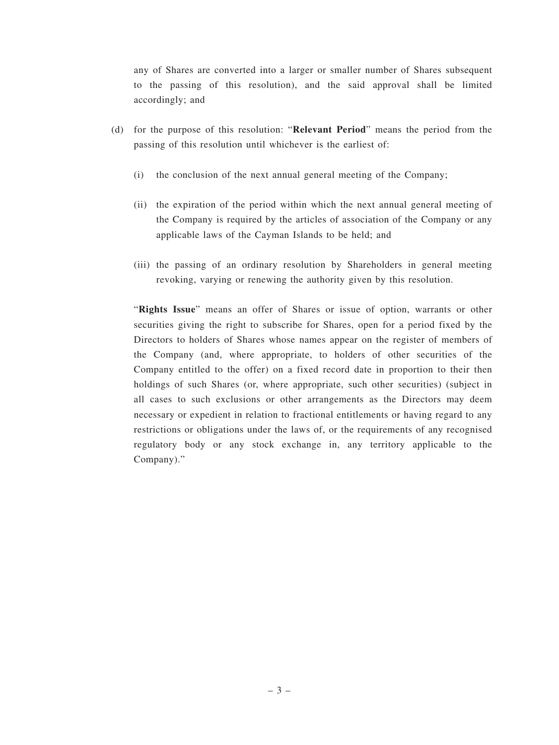any of Shares are converted into a larger or smaller number of Shares subsequent to the passing of this resolution), and the said approval shall be limited accordingly; and

- (d) for the purpose of this resolution: "**Relevant Period**" means the period from the passing of this resolution until whichever is the earliest of:
	- (i) the conclusion of the next annual general meeting of the Company;
	- (ii) the expiration of the period within which the next annual general meeting of the Company is required by the articles of association of the Company or any applicable laws of the Cayman Islands to be held; and
	- (iii) the passing of an ordinary resolution by Shareholders in general meeting revoking, varying or renewing the authority given by this resolution.

"**Rights Issue**" means an offer of Shares or issue of option, warrants or other securities giving the right to subscribe for Shares, open for a period fixed by the Directors to holders of Shares whose names appear on the register of members of the Company (and, where appropriate, to holders of other securities of the Company entitled to the offer) on a fixed record date in proportion to their then holdings of such Shares (or, where appropriate, such other securities) (subject in all cases to such exclusions or other arrangements as the Directors may deem necessary or expedient in relation to fractional entitlements or having regard to any restrictions or obligations under the laws of, or the requirements of any recognised regulatory body or any stock exchange in, any territory applicable to the Company)."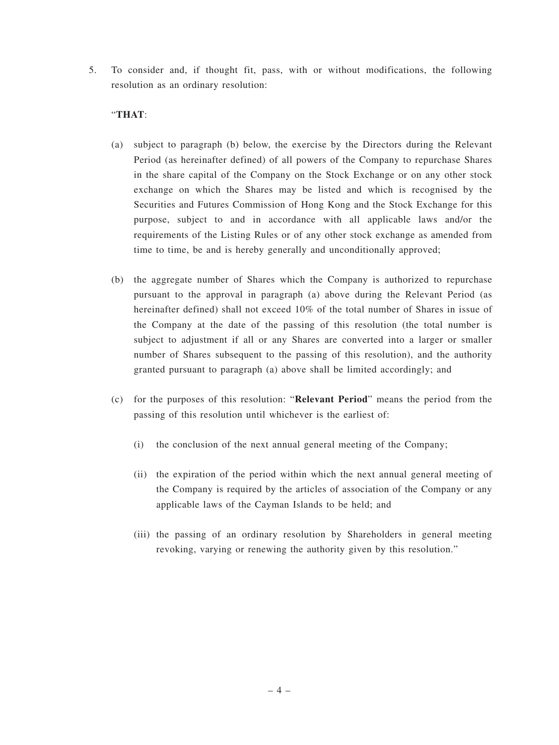5. To consider and, if thought fit, pass, with or without modifications, the following resolution as an ordinary resolution:

#### "**THAT**:

- (a) subject to paragraph (b) below, the exercise by the Directors during the Relevant Period (as hereinafter defined) of all powers of the Company to repurchase Shares in the share capital of the Company on the Stock Exchange or on any other stock exchange on which the Shares may be listed and which is recognised by the Securities and Futures Commission of Hong Kong and the Stock Exchange for this purpose, subject to and in accordance with all applicable laws and/or the requirements of the Listing Rules or of any other stock exchange as amended from time to time, be and is hereby generally and unconditionally approved;
- (b) the aggregate number of Shares which the Company is authorized to repurchase pursuant to the approval in paragraph (a) above during the Relevant Period (as hereinafter defined) shall not exceed 10% of the total number of Shares in issue of the Company at the date of the passing of this resolution (the total number is subject to adjustment if all or any Shares are converted into a larger or smaller number of Shares subsequent to the passing of this resolution), and the authority granted pursuant to paragraph (a) above shall be limited accordingly; and
- (c) for the purposes of this resolution: "**Relevant Period**" means the period from the passing of this resolution until whichever is the earliest of:
	- (i) the conclusion of the next annual general meeting of the Company;
	- (ii) the expiration of the period within which the next annual general meeting of the Company is required by the articles of association of the Company or any applicable laws of the Cayman Islands to be held; and
	- (iii) the passing of an ordinary resolution by Shareholders in general meeting revoking, varying or renewing the authority given by this resolution."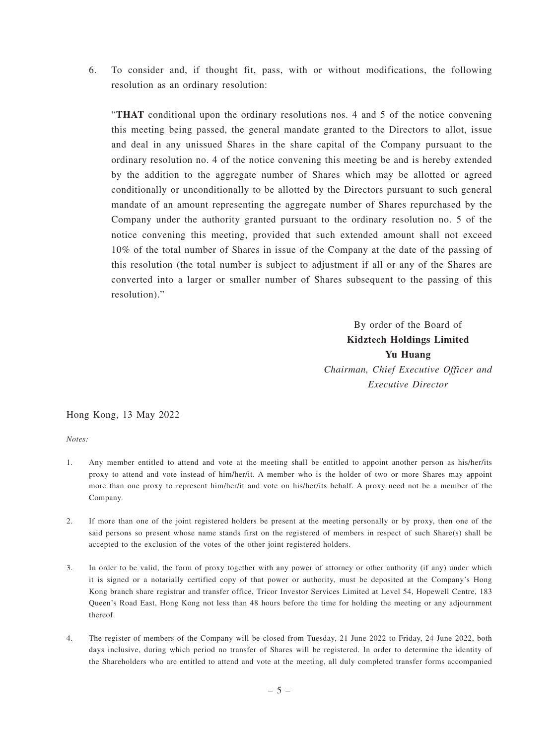6. To consider and, if thought fit, pass, with or without modifications, the following resolution as an ordinary resolution:

"**THAT** conditional upon the ordinary resolutions nos. 4 and 5 of the notice convening this meeting being passed, the general mandate granted to the Directors to allot, issue and deal in any unissued Shares in the share capital of the Company pursuant to the ordinary resolution no. 4 of the notice convening this meeting be and is hereby extended by the addition to the aggregate number of Shares which may be allotted or agreed conditionally or unconditionally to be allotted by the Directors pursuant to such general mandate of an amount representing the aggregate number of Shares repurchased by the Company under the authority granted pursuant to the ordinary resolution no. 5 of the notice convening this meeting, provided that such extended amount shall not exceed 10% of the total number of Shares in issue of the Company at the date of the passing of this resolution (the total number is subject to adjustment if all or any of the Shares are converted into a larger or smaller number of Shares subsequent to the passing of this resolution)."

> By order of the Board of **Kidztech Holdings Limited Yu Huang** *Chairman, Chief Executive Officer and Executive Director*

#### Hong Kong, 13 May 2022

*Notes:*

- 1. Any member entitled to attend and vote at the meeting shall be entitled to appoint another person as his/her/its proxy to attend and vote instead of him/her/it. A member who is the holder of two or more Shares may appoint more than one proxy to represent him/her/it and vote on his/her/its behalf. A proxy need not be a member of the Company.
- 2. If more than one of the joint registered holders be present at the meeting personally or by proxy, then one of the said persons so present whose name stands first on the registered of members in respect of such Share(s) shall be accepted to the exclusion of the votes of the other joint registered holders.
- 3. In order to be valid, the form of proxy together with any power of attorney or other authority (if any) under which it is signed or a notarially certified copy of that power or authority, must be deposited at the Company's Hong Kong branch share registrar and transfer office, Tricor Investor Services Limited at Level 54, Hopewell Centre, 183 Queen's Road East, Hong Kong not less than 48 hours before the time for holding the meeting or any adjournment thereof.
- 4. The register of members of the Company will be closed from Tuesday, 21 June 2022 to Friday, 24 June 2022, both days inclusive, during which period no transfer of Shares will be registered. In order to determine the identity of the Shareholders who are entitled to attend and vote at the meeting, all duly completed transfer forms accompanied